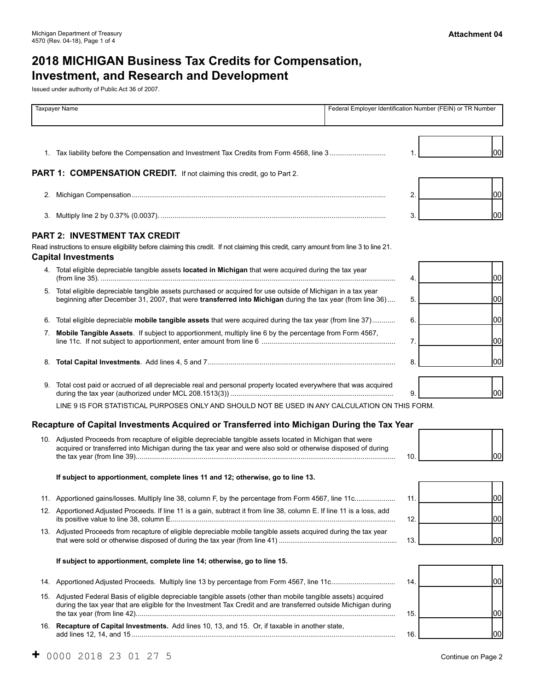# **2018 MICHIGAN Business Tax Credits for Compensation, Investment, and Research and Development**

Issued under authority of Public Act 36 of 2007.

|     | <b>Taxpayer Name</b>                                                                                                                                                                                                       | Federal Employer Identification Number (FEIN) or TR Number |     |
|-----|----------------------------------------------------------------------------------------------------------------------------------------------------------------------------------------------------------------------------|------------------------------------------------------------|-----|
|     | 1. Tax liability before the Compensation and Investment Tax Credits from Form 4568, line 3                                                                                                                                 | 1.                                                         | 00  |
|     | PART 1: COMPENSATION CREDIT. If not claiming this credit, go to Part 2.                                                                                                                                                    |                                                            |     |
|     |                                                                                                                                                                                                                            | 2.                                                         | 00  |
|     |                                                                                                                                                                                                                            | 3.                                                         | 00  |
|     | <b>PART 2: INVESTMENT TAX CREDIT</b>                                                                                                                                                                                       |                                                            |     |
|     | Read instructions to ensure eligibility before claiming this credit. If not claiming this credit, carry amount from line 3 to line 21.<br><b>Capital Investments</b>                                                       |                                                            |     |
|     | 4. Total eligible depreciable tangible assets located in Michigan that were acquired during the tax year                                                                                                                   | 4.                                                         | 00  |
|     | 5. Total eligible depreciable tangible assets purchased or acquired for use outside of Michigan in a tax year<br>beginning after December 31, 2007, that were transferred into Michigan during the tax year (from line 36) | 5.                                                         | 00  |
|     | 6. Total eligible depreciable mobile tangible assets that were acquired during the tax year (from line 37)                                                                                                                 | 6.                                                         | 00  |
|     | 7. Mobile Tangible Assets. If subject to apportionment, multiply line 6 by the percentage from Form 4567,                                                                                                                  | 7.                                                         | 00  |
|     |                                                                                                                                                                                                                            | 8.                                                         | 00  |
|     | 9. Total cost paid or accrued of all depreciable real and personal property located everywhere that was acquired                                                                                                           | 9.                                                         | 00  |
|     | LINE 9 IS FOR STATISTICAL PURPOSES ONLY AND SHOULD NOT BE USED IN ANY CALCULATION ON THIS FORM.                                                                                                                            |                                                            |     |
|     | Recapture of Capital Investments Acquired or Transferred into Michigan During the Tax Year                                                                                                                                 |                                                            |     |
|     | 10. Adjusted Proceeds from recapture of eligible depreciable tangible assets located in Michigan that were<br>acquired or transferred into Michigan during the tax year and were also sold or otherwise disposed of during | 10.                                                        | l00 |
|     | If subject to apportionment, complete lines 11 and 12; otherwise, go to line 13.                                                                                                                                           |                                                            |     |
|     | 11. Apportioned gains/losses. Multiply line 38, column F, by the percentage from Form 4567, line 11c                                                                                                                       | 11.                                                        | 00  |
| 12. | Apportioned Adjusted Proceeds. If line 11 is a gain, subtract it from line 38, column E. If line 11 is a loss, add                                                                                                         | 12.                                                        | 00  |
|     | 13. Adjusted Proceeds from recapture of eligible depreciable mobile tangible assets acquired during the tax year                                                                                                           | 13.                                                        | 00  |
|     | If subject to apportionment, complete line 14; otherwise, go to line 15.                                                                                                                                                   |                                                            |     |
|     |                                                                                                                                                                                                                            | 14.                                                        | 00  |

 16. **Recapture of Capital Investments.** Add lines 10, 13, and 15. Or, if taxable in another state, add lines 12, 14, and 15 ........................................................................................................................................ 16. 00

00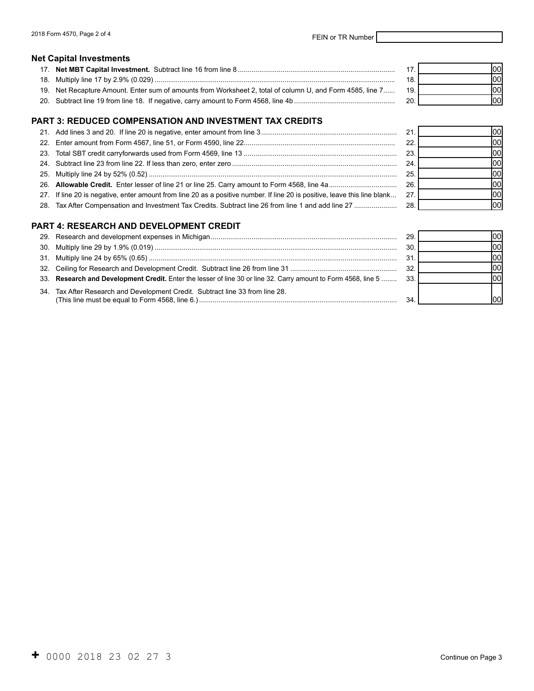#### **Net Capital Investments**

|                                                                                                           |     | 100I |
|-----------------------------------------------------------------------------------------------------------|-----|------|
|                                                                                                           |     | lool |
| 19. Net Recapture Amount. Enter sum of amounts from Worksheet 2, total of column U, and Form 4585, line 7 | 19. | lool |
|                                                                                                           |     | lool |

## **PART 3: REDUCED COMPENSATION AND INVESTMENT TAX CREDITS**

|                                                                                                                           | 21  |  |
|---------------------------------------------------------------------------------------------------------------------------|-----|--|
|                                                                                                                           | 22  |  |
|                                                                                                                           | 23. |  |
|                                                                                                                           | 24  |  |
|                                                                                                                           | 25. |  |
|                                                                                                                           | 26. |  |
| 27. If line 20 is negative, enter amount from line 20 as a positive number. If line 20 is positive, leave this line blank | 27  |  |
| 28. Tax After Compensation and Investment Tax Credits. Subtract line 26 from line 1 and add line 27                       | 28. |  |
|                                                                                                                           |     |  |

## **PART 4: RESEARCH AND DEVELOPMENT CREDIT**

|                                                                                                                | -29. |  |
|----------------------------------------------------------------------------------------------------------------|------|--|
|                                                                                                                | 30   |  |
|                                                                                                                |      |  |
|                                                                                                                | 32.  |  |
| 33. Research and Development Credit. Enter the lesser of line 30 or line 32. Carry amount to Form 4568, line 5 | -33. |  |
| 34. Tax After Research and Development Credit. Subtract line 33 from line 28.                                  | -34  |  |

<u>00</u>  $|00|$  $|00|$  $|00|$  $|00|$  $|00|$  $|00|$  $|00|$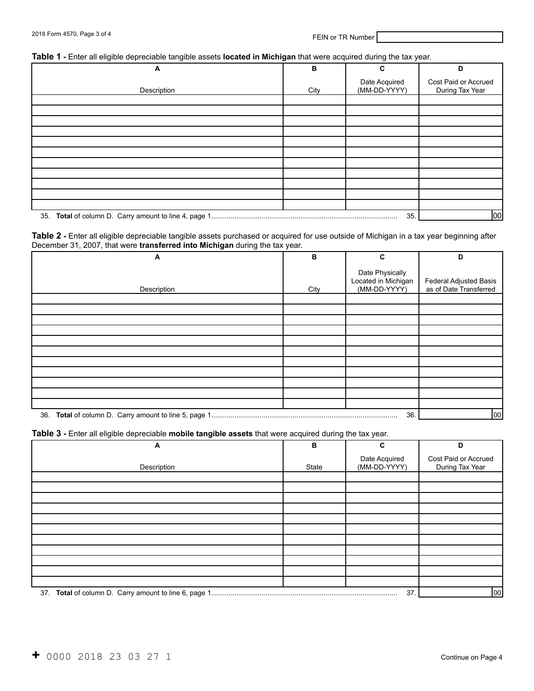#### **Table 1 -** Enter all eligible depreciable tangible assets **located in Michigan** that were acquired during the tax year.

| ັ<br>. . | ັ<br>- - - - - -<br>__ | $\ddot{\phantom{0}}$ | ັ<br>$\overline{\phantom{a}}$ |                                         |
|----------|------------------------|----------------------|-------------------------------|-----------------------------------------|
|          | A                      | в                    | C                             | D                                       |
|          | Description            | City                 | Date Acquired<br>(MM-DD-YYYY) | Cost Paid or Accrued<br>During Tax Year |
|          |                        |                      |                               |                                         |
|          |                        |                      |                               |                                         |
|          |                        |                      |                               |                                         |
|          |                        |                      |                               |                                         |
|          |                        |                      |                               |                                         |
|          |                        |                      |                               |                                         |
|          |                        |                      |                               |                                         |
|          |                        |                      |                               |                                         |
|          |                        |                      |                               |                                         |
|          |                        |                      |                               |                                         |
|          |                        |                      |                               |                                         |
| 35.      |                        |                      |                               | 00                                      |

#### **Table 2 -** Enter all eligible depreciable tangible assets purchased or acquired for use outside of Michigan in a tax year beginning after December 31, 2007, that were **transferred into Michigan** during the tax year.

| A           | B    | C                                                      | D                                                       |
|-------------|------|--------------------------------------------------------|---------------------------------------------------------|
| Description | City | Date Physically<br>Located in Michigan<br>(MM-DD-YYYY) | <b>Federal Adjusted Basis</b><br>as of Date Transferred |
|             |      |                                                        |                                                         |
|             |      |                                                        |                                                         |
|             |      |                                                        |                                                         |
|             |      |                                                        |                                                         |
|             |      |                                                        |                                                         |
|             |      |                                                        |                                                         |
|             |      |                                                        |                                                         |
|             |      |                                                        |                                                         |
|             |      |                                                        |                                                         |
|             |      |                                                        |                                                         |
|             |      |                                                        |                                                         |
|             |      | 36.                                                    | 00                                                      |

#### **Table 3 -** Enter all eligible depreciable **mobile tangible assets** that were acquired during the tax year.

| A           | B     | C                             | D                                       |
|-------------|-------|-------------------------------|-----------------------------------------|
| Description | State | Date Acquired<br>(MM-DD-YYYY) | Cost Paid or Accrued<br>During Tax Year |
|             |       |                               |                                         |
|             |       |                               |                                         |
|             |       |                               |                                         |
|             |       |                               |                                         |
|             |       |                               |                                         |
|             |       |                               |                                         |
|             |       |                               |                                         |
|             |       |                               |                                         |
|             |       |                               |                                         |
|             |       |                               |                                         |
|             |       |                               |                                         |
|             |       | 37.                           | 00                                      |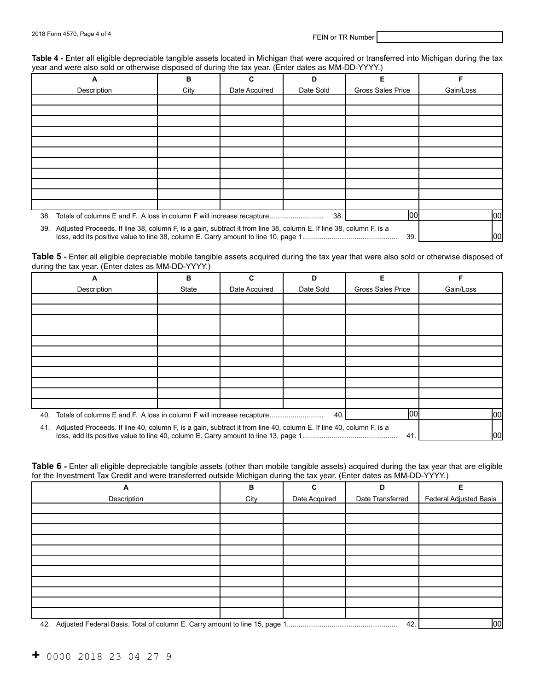Table 4 - Enter all eligible depreciable tangible assets located in Michigan that were acquired or transferred into Michigan during the tax year and were also sold or otherwise disposed of during the tax year. (Enter dates as MM-DD-YYYY.)

|     | А                                                                     | в    | C                                                                                                                            | D         | Е                        | F         |  |
|-----|-----------------------------------------------------------------------|------|------------------------------------------------------------------------------------------------------------------------------|-----------|--------------------------|-----------|--|
|     | Description                                                           | City | Date Acquired                                                                                                                | Date Sold | <b>Gross Sales Price</b> | Gain/Loss |  |
|     |                                                                       |      |                                                                                                                              |           |                          |           |  |
|     |                                                                       |      |                                                                                                                              |           |                          |           |  |
|     |                                                                       |      |                                                                                                                              |           |                          |           |  |
|     |                                                                       |      |                                                                                                                              |           |                          |           |  |
|     |                                                                       |      |                                                                                                                              |           |                          |           |  |
|     |                                                                       |      |                                                                                                                              |           |                          |           |  |
|     |                                                                       |      |                                                                                                                              |           |                          |           |  |
|     |                                                                       |      |                                                                                                                              |           |                          |           |  |
|     |                                                                       |      |                                                                                                                              |           |                          |           |  |
|     |                                                                       |      |                                                                                                                              |           |                          |           |  |
|     |                                                                       |      |                                                                                                                              |           |                          |           |  |
| 38. | Totals of columns E and F. A loss in column F will increase recapture |      |                                                                                                                              | 38.       | 00                       | 00        |  |
|     |                                                                       |      |                                                                                                                              |           |                          |           |  |
|     |                                                                       |      | 39. Adjusted Proceeds. If line 38, column F, is a gain, subtract it from line 38, column E. If line 38, column F, is a<br>39 |           |                          |           |  |

**Table 5 -** Enter all eligible depreciable mobile tangible assets acquired during the tax year that were also sold or otherwise disposed of during the tax year. (Enter dates as MM-DD-YYYY.)

| А                                                                                                                      | в     | C             | D         | Е                        | F         |
|------------------------------------------------------------------------------------------------------------------------|-------|---------------|-----------|--------------------------|-----------|
| Description                                                                                                            | State | Date Acquired | Date Sold | <b>Gross Sales Price</b> | Gain/Loss |
|                                                                                                                        |       |               |           |                          |           |
|                                                                                                                        |       |               |           |                          |           |
|                                                                                                                        |       |               |           |                          |           |
|                                                                                                                        |       |               |           |                          |           |
|                                                                                                                        |       |               |           |                          |           |
|                                                                                                                        |       |               |           |                          |           |
|                                                                                                                        |       |               |           |                          |           |
|                                                                                                                        |       |               |           |                          |           |
|                                                                                                                        |       |               |           |                          |           |
|                                                                                                                        |       |               |           |                          |           |
|                                                                                                                        |       |               |           |                          |           |
| Totals of columns E and F. A loss in column F will increase recapture<br>40.                                           |       |               | 40        | 00                       | 00        |
| 41. Adjusted Proceeds. If line 40, column F, is a gain, subtract it from line 40, column E. If line 40, column F, is a |       |               |           |                          |           |
|                                                                                                                        |       |               |           | 41                       | 1001      |

**Table 6 -** Enter all eligible depreciable tangible assets (other than mobile tangible assets) acquired during the tax year that are eligible for the Investment Tax Credit and were transferred outside Michigan during the tax year. (Enter dates as MM-DD-YYYY.)

| A           | B    | C             | D                | Е                      |  |  |
|-------------|------|---------------|------------------|------------------------|--|--|
| Description | City | Date Acquired | Date Transferred | Federal Adjusted Basis |  |  |
|             |      |               |                  |                        |  |  |
|             |      |               |                  |                        |  |  |
|             |      |               |                  |                        |  |  |
|             |      |               |                  |                        |  |  |
|             |      |               |                  |                        |  |  |
|             |      |               |                  |                        |  |  |
|             |      |               |                  |                        |  |  |
|             |      |               |                  |                        |  |  |
|             |      |               |                  |                        |  |  |
|             |      |               |                  |                        |  |  |
|             |      |               |                  |                        |  |  |
|             | 42.  |               |                  |                        |  |  |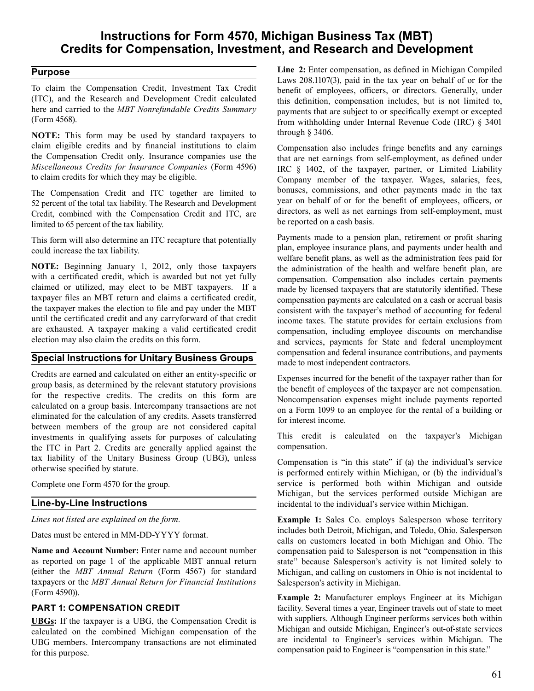## **Instructions for Form 4570, Michigan Business Tax (MBT) Credits for Compensation, Investment, and Research and Development**

## **Purpose**

 To claim the Compensation Credit, Investment Tax Credit (ITC), and the Research and Development Credit calculated here and carried to the *MBT Nonrefundable Credits Summary*  (Form 4568).

 **NOTE:** This form may be used by standard taxpayers to claim eligible credits and by financial institutions to claim the Compensation Credit only. Insurance companies use the *Miscellaneous Credits for Insurance Companies* (Form 4596) to claim credits for which they may be eligible.

 The Compensation Credit and ITC together are limited to 52 percent of the total tax liability. The Research and Development Credit, combined with the Compensation Credit and ITC, are limited to 65 percent of the tax liability.

 This form will also determine an ITC recapture that potentially could increase the tax liability.

 **NOTE:** Beginning January 1, 2012, only those taxpayers with a certificated credit, which is awarded but not yet fully claimed or utilized, may elect to be MBT taxpayers. If a taxpayer files an MBT return and claims a certificated credit, the taxpayer makes the election to file and pay under the MBT until the certificated credit and any carryforward of that credit are exhausted. A taxpayer making a valid certificated credit election may also claim the credits on this form.

## **Special Instructions for Unitary Business Groups**

 Credits are earned and calculated on either an entity-specific or group basis, as determined by the relevant statutory provisions for the respective credits. The credits on this form are calculated on a group basis. Intercompany transactions are not eliminated for the calculation of any credits. Assets transferred between members of the group are not considered capital investments in qualifying assets for purposes of calculating the ITC in Part 2. Credits are generally applied against the tax liability of the Unitary Business Group (UBG), unless otherwise specified by statute.

 Complete one Form 4570 for the group.

### **Line-by-Line Instructions**

*Lines not listed are explained on the form.* 

 Dates must be entered in MM-DD-YYYY format.

 **Name and Account Number:** Enter name and account number as reported on page 1 of the applicable MBT annual return (either the *MBT Annual Return* (Form 4567) for standard taxpayers or the *MBT Annual Return for Financial Institutions*  (Form 4590)).

### **PART 1: COMPENSATION CREDIT**

 **UBGs:** If the taxpayer is a UBG, the Compensation Credit is calculated on the combined Michigan compensation of the UBG members. Intercompany transactions are not eliminated for this purpose.

 **Line 2:** Enter compensation, as defined in Michigan Compiled Laws 208.1107(3), paid in the tax year on behalf of or for the benefit of employees, officers, or directors. Generally, under this definition, compensation includes, but is not limited to, payments that are subject to or specifically exempt or excepted from withholding under Internal Revenue Code (IRC) § 3401 through § 3406.

 Compensation also includes fringe benefits and any earnings that are net earnings from self-employment, as defined under IRC § 1402, of the taxpayer, partner, or Limited Liability Company member of the taxpayer. Wages, salaries, fees, bonuses, commissions, and other payments made in the tax year on behalf of or for the benefit of employees, officers, or directors, as well as net earnings from self-employment, must be reported on a cash basis.

 Payments made to a pension plan, retirement or profit sharing plan, employee insurance plans, and payments under health and welfare benefit plans, as well as the administration fees paid for the administration of the health and welfare benefit plan, are compensation. Compensation also includes certain payments made by licensed taxpayers that are statutorily identified. These compensation payments are calculated on a cash or accrual basis consistent with the taxpayer's method of accounting for federal income taxes. The statute provides for certain exclusions from compensation, including employee discounts on merchandise and services, payments for State and federal unemployment compensation and federal insurance contributions, and payments made to most independent contractors.

 Expenses incurred for the benefit of the taxpayer rather than for the benefit of employees of the taxpayer are not compensation. Noncompensation expenses might include payments reported on a Form 1099 to an employee for the rental of a building or for interest income.

 This credit is calculated on the taxpayer's Michigan compensation.

 Compensation is "in this state" if (a) the individual's service is performed entirely within Michigan, or (b) the individual's service is performed both within Michigan and outside Michigan, but the services performed outside Michigan are incidental to the individual's service within Michigan.

 **Example 1:** Sales Co. employs Salesperson whose territory includes both Detroit, Michigan, and Toledo, Ohio. Salesperson calls on customers located in both Michigan and Ohio. The compensation paid to Salesperson is not "compensation in this state" because Salesperson's activity is not limited solely to Michigan, and calling on customers in Ohio is not incidental to Salesperson's activity in Michigan.

 **Example 2:** Manufacturer employs Engineer at its Michigan facility. Several times a year, Engineer travels out of state to meet with suppliers. Although Engineer performs services both within Michigan and outside Michigan, Engineer's out-of-state services are incidental to Engineer's services within Michigan. The compensation paid to Engineer is "compensation in this state."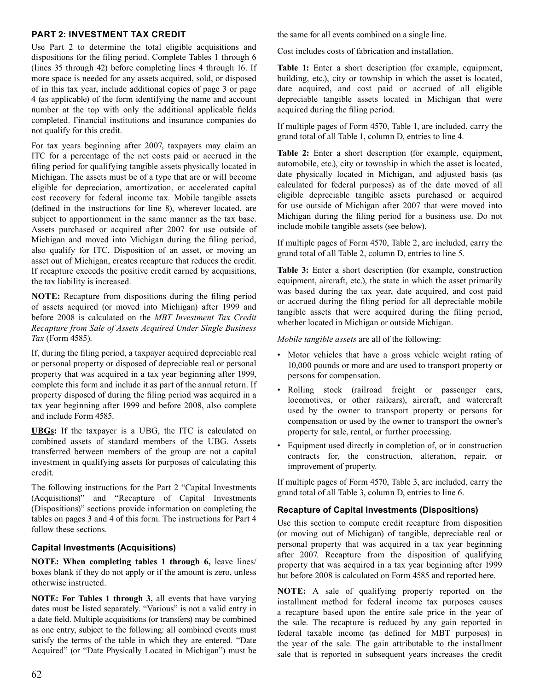#### **PART 2: INVESTMENT TAX CREDIT**

 Use Part 2 to determine the total eligible acquisitions and dispositions for the filing period. Complete Tables 1 through 6 (lines 35 through 42) before completing lines 4 through 16. If more space is needed for any assets acquired, sold, or disposed of in this tax year, include additional copies of page 3 or page 4 (as applicable) of the form identifying the name and account number at the top with only the additional applicable fields completed. Financial institutions and insurance companies do not qualify for this credit.

 For tax years beginning after 2007, taxpayers may claim an ITC for a percentage of the net costs paid or accrued in the filing period for qualifying tangible assets physically located in Michigan. The assets must be of a type that are or will become eligible for depreciation, amortization, or accelerated capital cost recovery for federal income tax. Mobile tangible assets (defined in the instructions for line 8), wherever located, are subject to apportionment in the same manner as the tax base. Assets purchased or acquired after 2007 for use outside of Michigan and moved into Michigan during the filing period, also qualify for ITC. Disposition of an asset, or moving an asset out of Michigan, creates recapture that reduces the credit. If recapture exceeds the positive credit earned by acquisitions, the tax liability is increased.

 **NOTE:** Recapture from dispositions during the filing period of assets acquired (or moved into Michigan) after 1999 and before 2008 is calculated on the *MBT Investment Tax Credit Tax* (Form 4585). *Recapture from Sale of Assets Acquired Under Single Business* 

 If, during the filing period, a taxpayer acquired depreciable real or personal property or disposed of depreciable real or personal property that was acquired in a tax year beginning after 1999, complete this form and include it as part of the annual return. If tax year beginning after 1999 and before 2008, also complete and include Form 4585. property disposed of during the filing period was acquired in a

 **UBGs:** If the taxpayer is a UBG, the ITC is calculated on combined assets of standard members of the UBG. Assets transferred between members of the group are not a capital investment in qualifying assets for purposes of calculating this credit.

 The following instructions for the Part 2 "Capital Investments (Acquisitions)" and "Recapture of Capital Investments (Dispositions)" sections provide information on completing the tables on pages 3 and 4 of this form. The instructions for Part 4 follow these sections.

### **Capital Investments (Acquisitions)**

 **NOTE: When completing tables 1 through 6,** leave lines/ boxes blank if they do not apply or if the amount is zero, unless otherwise instructed.

 **NOTE: For Tables 1 through 3,** all events that have varying dates must be listed separately. "Various" is not a valid entry in a date field. Multiple acquisitions (or transfers) may be combined as one entry, subject to the following: all combined events must satisfy the terms of the table in which they are entered. "Date Acquired" (or "Date Physically Located in Michigan") must be  the same for all events combined on a single line.

 Cost includes costs of fabrication and installation.

 **Table 1:** Enter a short description (for example, equipment, building, etc.), city or township in which the asset is located, date acquired, and cost paid or accrued of all eligible depreciable tangible assets located in Michigan that were acquired during the filing period.

 If multiple pages of Form 4570, Table 1, are included, carry the grand total of all Table 1, column D, entries to line 4.

 **Table 2:** Enter a short description (for example, equipment, automobile, etc.), city or township in which the asset is located, date physically located in Michigan, and adjusted basis (as calculated for federal purposes) as of the date moved of all eligible depreciable tangible assets purchased or acquired for use outside of Michigan after 2007 that were moved into Michigan during the filing period for a business use. Do not include mobile tangible assets (see below).

 If multiple pages of Form 4570, Table 2, are included, carry the grand total of all Table 2, column D, entries to line 5.

 **Table 3:** Enter a short description (for example, construction equipment, aircraft, etc.), the state in which the asset primarily was based during the tax year, date acquired, and cost paid or accrued during the filing period for all depreciable mobile tangible assets that were acquired during the filing period, whether located in Michigan or outside Michigan.

 *Mobile tangible assets* are all of the following:

- Motor vehicles that have a gross vehicle weight rating of 10,000 pounds or more and are used to transport property or persons for compensation.
- Rolling stock (railroad freight or passenger cars, locomotives, or other railcars), aircraft, and watercraft used by the owner to transport property or persons for compensation or used by the owner to transport the owner's property for sale, rental, or further processing.
- Equipment used directly in completion of, or in construction contracts for, the construction, alteration, repair, or improvement of property.

 If multiple pages of Form 4570, Table 3, are included, carry the grand total of all Table 3, column D, entries to line 6.

### **Recapture of Capital Investments (Dispositions)**

 Use this section to compute credit recapture from disposition (or moving out of Michigan) of tangible, depreciable real or personal property that was acquired in a tax year beginning after 2007. Recapture from the disposition of qualifying property that was acquired in a tax year beginning after 1999 but before 2008 is calculated on Form 4585 and reported here.

 **NOTE:** A sale of qualifying property reported on the installment method for federal income tax purposes causes a recapture based upon the entire sale price in the year of the sale. The recapture is reduced by any gain reported in federal taxable income (as defined for MBT purposes) in the year of the sale. The gain attributable to the installment sale that is reported in subsequent years increases the credit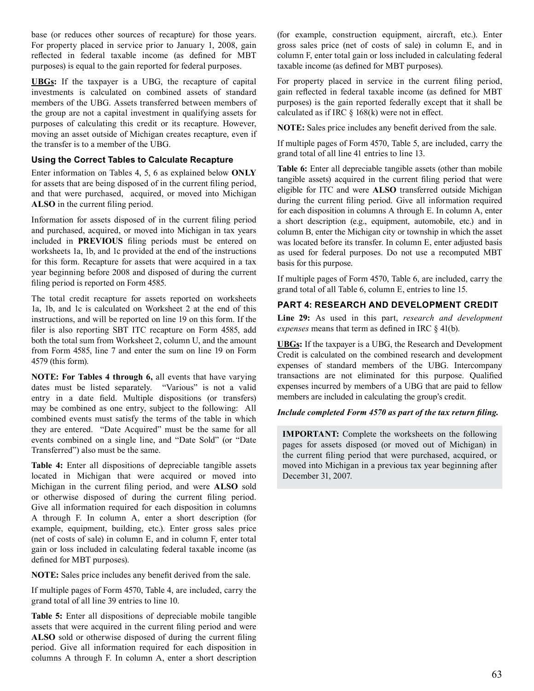base (or reduces other sources of recapture) for those years. For property placed in service prior to January 1, 2008, gain reflected in federal taxable income (as defined for MBT purposes) is equal to the gain reported for federal purposes.

 **UBGs:** If the taxpayer is a UBG, the recapture of capital investments is calculated on combined assets of standard members of the UBG. Assets transferred between members of the group are not a capital investment in qualifying assets for purposes of calculating this credit or its recapture. However, moving an asset outside of Michigan creates recapture, even if the transfer is to a member of the UBG.

#### **Using the Correct Tables to Calculate Recapture**

 Enter information on Tables 4, 5, 6 as explained below **ONLY**  for assets that are being disposed of in the current filing period, and that were purchased, acquired, or moved into Michigan **ALSO** in the current filing period.

 Information for assets disposed of in the current filing period and purchased, acquired, or moved into Michigan in tax years included in **PREVIOUS** filing periods must be entered on worksheets 1a, 1b, and 1c provided at the end of the instructions for this form. Recapture for assets that were acquired in a tax year beginning before 2008 and disposed of during the current filing period is reported on Form 4585.

 The total credit recapture for assets reported on worksheets 1a, 1b, and 1c is calculated on Worksheet 2 at the end of this instructions, and will be reported on line 19 on this form. If the filer is also reporting SBT ITC recapture on Form 4585, add both the total sum from Worksheet 2, column U, and the amount from Form 4585, line 7 and enter the sum on line 19 on Form 4579 (this form).

 **NOTE: For Tables 4 through 6,** all events that have varying dates must be listed separately. "Various" is not a valid entry in a date field. Multiple dispositions (or transfers) may be combined as one entry, subject to the following: All combined events must satisfy the terms of the table in which they are entered. "Date Acquired" must be the same for all events combined on a single line, and "Date Sold" (or "Date Transferred") also must be the same.

 **Table 4:** Enter all dispositions of depreciable tangible assets located in Michigan that were acquired or moved into Michigan in the current filing period, and were **ALSO** sold or otherwise disposed of during the current filing period. Give all information required for each disposition in columns A through F. In column A, enter a short description (for example, equipment, building, etc.). Enter gross sales price (net of costs of sale) in column E, and in column F, enter total gain or loss included in calculating federal taxable income (as defined for MBT purposes).

 **NOTE:** Sales price includes any benefit derived from the sale.

 If multiple pages of Form 4570, Table 4, are included, carry the grand total of all line 39 entries to line 10.

 **Table 5:** Enter all dispositions of depreciable mobile tangible assets that were acquired in the current filing period and were **ALSO** sold or otherwise disposed of during the current filing period. Give all information required for each disposition in columns A through F. In column A, enter a short description  (for example, construction equipment, aircraft, etc.). Enter gross sales price (net of costs of sale) in column E, and in column F, enter total gain or loss included in calculating federal taxable income (as defined for MBT purposes).

 For property placed in service in the current filing period, gain reflected in federal taxable income (as defined for MBT purposes) is the gain reported federally except that it shall be calculated as if IRC § 168(k) were not in effect.

 **NOTE:** Sales price includes any benefit derived from the sale.

 If multiple pages of Form 4570, Table 5, are included, carry the grand total of all line 41 entries to line 13.

 **Table 6:** Enter all depreciable tangible assets (other than mobile tangible assets) acquired in the current filing period that were eligible for ITC and were **ALSO** transferred outside Michigan during the current filing period. Give all information required for each disposition in columns A through E. In column A, enter a short description (e.g., equipment, automobile, etc.) and in column B, enter the Michigan city or township in which the asset was located before its transfer. In column E, enter adjusted basis as used for federal purposes. Do not use a recomputed MBT basis for this purpose.

 If multiple pages of Form 4570, Table 6, are included, carry the grand total of all Table 6, column E, entries to line 15.

### **PART 4: RESEARCH AND DEVELOPMENT CREDIT**

 **Line 29:** As used in this part, *research and development expenses* means that term as defined in IRC § 41(b).

 **UBGs:** If the taxpayer is a UBG, the Research and Development Credit is calculated on the combined research and development expenses of standard members of the UBG. Intercompany transactions are not eliminated for this purpose. Qualified expenses incurred by members of a UBG that are paid to fellow members are included in calculating the group's credit.

#### *Include completed Form 4570 as part of the tax return filing.*

 **IMPORTANT:** Complete the worksheets on the following pages for assets disposed (or moved out of Michigan) in the current filing period that were purchased, acquired, or moved into Michigan in a previous tax year beginning after December 31, 2007.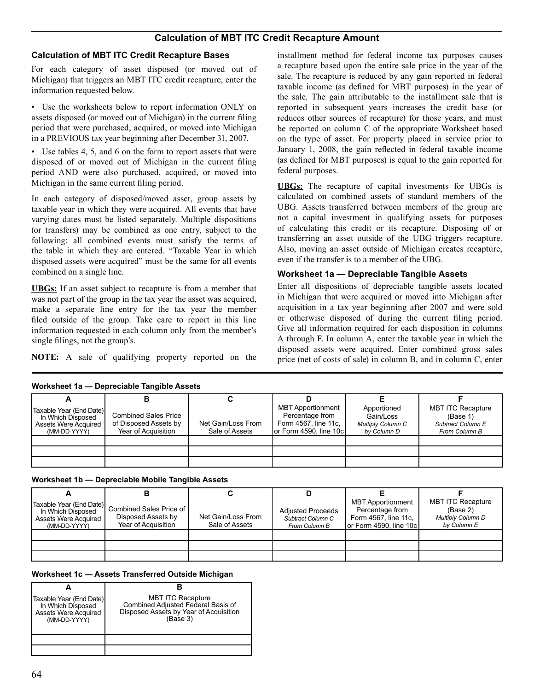### **Calculation of MBT ITC Credit Recapture Bases**

 For each category of asset disposed (or moved out of Michigan) that triggers an MBT ITC credit recapture, enter the information requested below.

 • Use the worksheets below to report information ONLY on assets disposed (or moved out of Michigan) in the current filing period that were purchased, acquired, or moved into Michigan in a PREVIOUS tax year beginning after December 31, 2007.

 • Use tables 4, 5, and 6 on the form to report assets that were disposed of or moved out of Michigan in the current filing period AND were also purchased, acquired, or moved into Michigan in the same current filing period.

 In each category of disposed/moved asset, group assets by taxable year in which they were acquired. All events that have varying dates must be listed separately. Multiple dispositions (or transfers) may be combined as one entry, subject to the following: all combined events must satisfy the terms of the table in which they are entered. "Taxable Year in which disposed assets were acquired" must be the same for all events combined on a single line.

 **UBGs:** If an asset subject to recapture is from a member that was not part of the group in the tax year the asset was acquired, make a separate line entry for the tax year the member filed outside of the group. Take care to report in this line information requested in each column only from the member's single filings, not the group's.

 **NOTE:** A sale of qualifying property reported on the

 installment method for federal income tax purposes causes a recapture based upon the entire sale price in the year of the sale. The recapture is reduced by any gain reported in federal taxable income (as defined for MBT purposes) in the year of the sale. The gain attributable to the installment sale that is reported in subsequent years increases the credit base (or reduces other sources of recapture) for those years, and must be reported on column C of the appropriate Worksheet based on the type of asset. For property placed in service prior to January 1, 2008, the gain reflected in federal taxable income (as defined for MBT purposes) is equal to the gain reported for federal purposes.

 **UBGs:** The recapture of capital investments for UBGs is calculated on combined assets of standard members of the UBG. Assets transferred between members of the group are not a capital investment in qualifying assets for purposes of calculating this credit or its recapture. Disposing of or transferring an asset outside of the UBG triggers recapture. Also, moving an asset outside of Michigan creates recapture, even if the transfer is to a member of the UBG.

### **Worksheet 1a — Depreciable Tangible Assets**

 Enter all dispositions of depreciable tangible assets located in Michigan that were acquired or moved into Michigan after acquisition in a tax year beginning after 2007 and were sold or otherwise disposed of during the current filing period. Give all information required for each disposition in columns A through F. In column A, enter the taxable year in which the disposed assets were acquired. Enter combined gross sales price (net of costs of sale) in column B, and in column C, enter

| <b><i>Profisilent La — Depreciable Taliquide Assets</i></b>                                                   |                                                                             |                                      |                                                                                               |                                                                     |                                                                            |  |  |  |  |
|---------------------------------------------------------------------------------------------------------------|-----------------------------------------------------------------------------|--------------------------------------|-----------------------------------------------------------------------------------------------|---------------------------------------------------------------------|----------------------------------------------------------------------------|--|--|--|--|
|                                                                                                               |                                                                             |                                      |                                                                                               |                                                                     |                                                                            |  |  |  |  |
| <b>I</b> Taxable Year (End Date) <b>I</b><br>In Which Disposed<br><b>Assets Were Acquired</b><br>(MM-DD-YYYY) | <b>Combined Sales Price</b><br>of Disposed Assets by<br>Year of Acquisition | Net Gain/Loss From<br>Sale of Assets | <b>MBT</b> Apportionment<br>Percentage from<br>Form 4567, line 11c,<br>or Form 4590, line 10c | Apportioned<br>Gain/Loss<br><b>Multiply Column C</b><br>by Column D | <b>MBT ITC Recapture</b><br>(Base 1)<br>Subtract Column E<br>From Column B |  |  |  |  |
|                                                                                                               |                                                                             |                                      |                                                                                               |                                                                     |                                                                            |  |  |  |  |
|                                                                                                               |                                                                             |                                      |                                                                                               |                                                                     |                                                                            |  |  |  |  |
|                                                                                                               |                                                                             |                                      |                                                                                               |                                                                     |                                                                            |  |  |  |  |

**Worksheet 1a — Depreciable Tangible Assets** 

| <b>Assets Were Acquired</b><br>(MM-DD-YYYY) | (Taxable Year (End Date) Combined Sales Price of I<br>Disposed Assets by<br>Year of Acquisition | Net Gain/Loss From<br>Sale of Assets | <b>Adiusted Proceeds</b><br>Subtract Column C<br>From Column B | <b>MBT Apportionment</b><br>Percentage from<br>Form 4567, line 11c.<br>or Form 4590, line 10c | <b>MBT ITC Recapture</b><br>(Base 2)<br><b>Multiply Column D</b><br>by Column E |
|---------------------------------------------|-------------------------------------------------------------------------------------------------|--------------------------------------|----------------------------------------------------------------|-----------------------------------------------------------------------------------------------|---------------------------------------------------------------------------------|
|                                             |                                                                                                 |                                      |                                                                |                                                                                               |                                                                                 |
|                                             |                                                                                                 |                                      |                                                                |                                                                                               |                                                                                 |
|                                             |                                                                                                 |                                      |                                                                |                                                                                               |                                                                                 |

**Worksheet 1c — Assets Transferred Outside Michigan** 

| Taxable Year (End Date)<br>In Which Disposed<br><b>Assets Were Acquired</b><br>(MM-DD-YYYY) | <b>MBT ITC Recapture</b><br>Combined Adjusted Federal Basis of<br>Disposed Assets by Year of Acquisition<br>(Base 3) |  |
|---------------------------------------------------------------------------------------------|----------------------------------------------------------------------------------------------------------------------|--|
|                                                                                             |                                                                                                                      |  |
|                                                                                             |                                                                                                                      |  |
|                                                                                             |                                                                                                                      |  |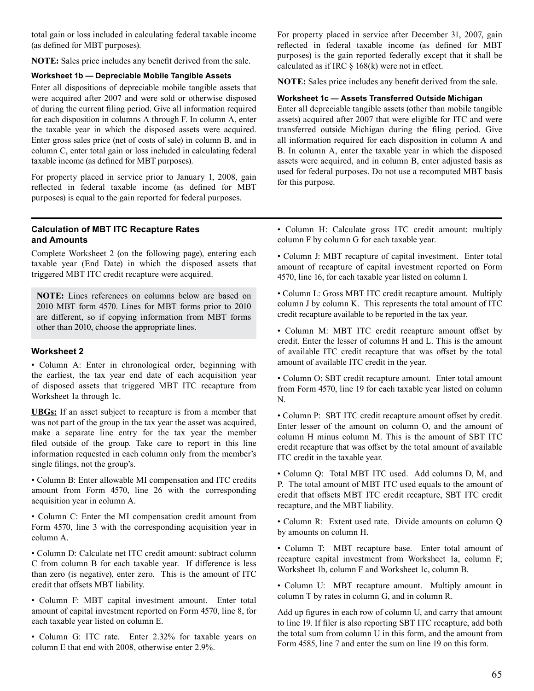total gain or loss included in calculating federal taxable income (as defined for MBT purposes).

 **NOTE:** Sales price includes any benefit derived from the sale.

#### **Worksheet 1b — Depreciable Mobile Tangible Assets**

 Enter all dispositions of depreciable mobile tangible assets that were acquired after 2007 and were sold or otherwise disposed of during the current filing period. Give all information required for each disposition in columns A through F. In column A, enter the taxable year in which the disposed assets were acquired. Enter gross sales price (net of costs of sale) in column B, and in column C, enter total gain or loss included in calculating federal taxable income (as defined for MBT purposes).

 For property placed in service prior to January 1, 2008, gain reflected in federal taxable income (as defined for MBT purposes) is equal to the gain reported for federal purposes.

#### **Calculation of MBT ITC Recapture Rates and Amounts**

 Complete Worksheet 2 (on the following page), entering each taxable year (End Date) in which the disposed assets that triggered MBT ITC credit recapture were acquired.

 **NOTE:** Lines references on columns below are based on 2010 MBT form 4570. Lines for MBT forms prior to 2010 are different, so if copying information from MBT forms other than 2010, choose the appropriate lines.

#### **Worksheet 2**

 • Column A: Enter in chronological order, beginning with the earliest, the tax year end date of each acquisition year of disposed assets that triggered MBT ITC recapture from Worksheet 1a through 1c.

 **UBGs:** If an asset subject to recapture is from a member that was not part of the group in the tax year the asset was acquired, make a separate line entry for the tax year the member filed outside of the group. Take care to report in this line information requested in each column only from the member's single filings, not the group's.

 • Column B: Enter allowable MI compensation and ITC credits amount from Form 4570, line 26 with the corresponding acquisition year in column A.

 • Column C: Enter the MI compensation credit amount from Form 4570, line 3 with the corresponding acquisition year in column A.

 • Column D: Calculate net ITC credit amount: subtract column C from column B for each taxable year. If difference is less than zero (is negative), enter zero. This is the amount of ITC credit that offsets MBT liability.

 • Column F: MBT capital investment amount. Enter total amount of capital investment reported on Form 4570, line 8, for each taxable year listed on column E.

 • Column G: ITC rate. Enter 2.32% for taxable years on column E that end with 2008, otherwise enter 2.9%.

 For property placed in service after December 31, 2007, gain reflected in federal taxable income (as defined for MBT purposes) is the gain reported federally except that it shall be calculated as if IRC § 168(k) were not in effect.

 **NOTE:** Sales price includes any benefit derived from the sale.

#### **Worksheet 1c — Assets Transferred Outside Michigan**

 Enter all depreciable tangible assets (other than mobile tangible assets) acquired after 2007 that were eligible for ITC and were transferred outside Michigan during the filing period. Give all information required for each disposition in column A and B. In column A, enter the taxable year in which the disposed assets were acquired, and in column B, enter adjusted basis as used for federal purposes. Do not use a recomputed MBT basis for this purpose.

- Column H: Calculate gross ITC credit amount: multiply column F by column G for each taxable year.
- Column J: MBT recapture of capital investment. Enter total amount of recapture of capital investment reported on Form 4570, line 16, for each taxable year listed on column I.
- Column L: Gross MBT ITC credit recapture amount. Multiply column J by column K. This represents the total amount of ITC credit recapture available to be reported in the tax year.
- Column M: MBT ITC credit recapture amount offset by credit. Enter the lesser of columns H and L. This is the amount of available ITC credit recapture that was offset by the total amount of available ITC credit in the year.

 • Column O: SBT credit recapture amount. Enter total amount from Form 4570, line 19 for each taxable year listed on column N.

 • Column P: SBT ITC credit recapture amount offset by credit. Enter lesser of the amount on column O, and the amount of column H minus column M. This is the amount of SBT ITC credit recapture that was offset by the total amount of available ITC credit in the taxable year.

 • Column Q: Total MBT ITC used. Add columns D, M, and P. The total amount of MBT ITC used equals to the amount of credit that offsets MBT ITC credit recapture, SBT ITC credit recapture, and the MBT liability.

 • Column R: Extent used rate. Divide amounts on column Q by amounts on column H.

 • Column T: MBT recapture base. Enter total amount of recapture capital investment from Worksheet 1a, column F; Worksheet 1b, column F and Worksheet 1c, column B.

 • Column U: MBT recapture amount. Multiply amount in column T by rates in column G, and in column R.

 Add up figures in each row of column U, and carry that amount to line 19. If filer is also reporting SBT ITC recapture, add both the total sum from column U in this form, and the amount from Form 4585, line 7 and enter the sum on line 19 on this form.